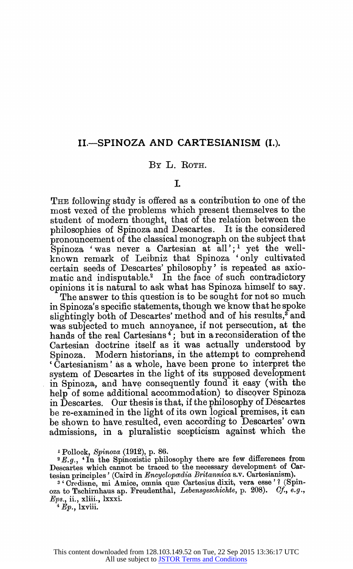# **II.-SPINOZA AND CARTESIANISM (I.).**

#### **BY L. ROTH.**

# **1.**

**TH:E following study is offered as a contribution to one of the**  most vexed of the problems which present themselves to the **student of modern thought, that of the relation between the philosophies of Spinoza and Descartes. It is the considered pronouncement of the classical monograph on the subject that**  Spinoza 'was never a Cartesian at all';<sup>1</sup> yet the well**known remark of Leibniz that Spinoza 'only cultivated certain seeds of Descartes' philosophy' is repeated as axiomatic and indisputable.2 In the face of such contradictory opinions it is natural to ask what has Spinoza himself to say.** 

**The answer to this question is to be sought for not so much in Spinoza's specific statements, though we know that he spoke**  slightingly both of Descartes' method and of his results,<sup>3</sup> and was subjected to much annoyance, if not persecution, at the **hands of the real Cartesians 4; but in a reconsideration of the Cartesian doctrine itself as it was actually understood by Spinoza. Modern historians, in the attempt to comprehend 'Cartesianism' as a whole, have been prone to interpret the system of Descartes in the light of its supposed development in Spinoza, and have consequently found it easy (with the help of some additional accommodation) to discover Spinoza in Descartes. Our thesis is that, if the philosophy of Descartes be re-examined in the light of its own logical premises, it can be shown to have. resulted, even according to Descartes' own admissions. in a pluralistic scepticism against which the** 

**1 Pollock, Spinoza (1912), p. 86.** 

**2E.g., 'In the Spinozistic philosophy there are few differences from Descartes which cannot be traced to the necessary development of Oar**tesian principles' (Caird in *Encyclopadia Britannica* s.v. Cartesianism).

<sup>3</sup> Credisne, mi Amice, omnia quæ Cartesius dixit, vera esse '? (Spin**oza to Tschirnhaus ap. Freudenthal, Lebensgeschichte, p. 208). Cf., e.g., Eps., ii., xliii., lxxxi.** 

**<sup>4</sup>Ep., lxviii.**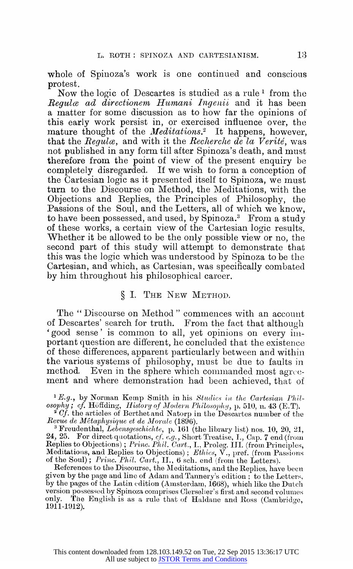**whole of Spinoza's work is one continued and conscious protest.** 

**Now the logic of Descartes is studied as a rule I from the Regulæ ad directionem Humani Ingenii and it has been a matter for some discussion as to how far the opinions of**  this early work persist in, or exercised influence over, the mature thought of the *Meditations*.<sup>2</sup> It happens, however, that the Regula, and with it the Recherche de la Verité, was **not published in any form till after Spinoza's death, and must therefore from the point of view of the present enquiry be completely disregarded. If we wish to form a conception of the Cartesian logic as it presented itself to Spinoza, we must**  turn to the Discourse on Method, the Meditations, with the **Objections and Replies, the Principles of Philosophy, the Passions of the Soul, and the Letters, all of which we know, to have been possessed, and used, by Spinoza.' From a study of these works, a certain view of the Cartesian logic results. Whether it be allowed to be the only possible view or no, the second part of this study will attempt to demonstrate that this was the logie which was understood by Spinoza to be the Cartesian, and which, as Cartesian, was specifically combated by him throughout his philosophical career.** 

#### **? I. THE NEW METHOD.**

The "Discourse on Method" commences with an account **of Descartes' search for truth. From the fact that although 'good sense' is common to all, yet opinions on every iiiiportant question are different, he concluded that the existence of these differences, apparent particularly between and within the various systems of philosophy, mnust be due to faults in**  method. Even in the sphere which commanded most agree**ment and where demonstration had been achieved, that of** 

<sup>1</sup> *E.g.***, by Norman Kemp Smith in his Studies in the Cartesian Philosophy;** cf. Höffding, *History of Modern Philosophy*, p. 510, n. 43 (E.T). <sup>2</sup> Cf. the articles of Berthet and Natorp in the Descartes number of the

**Revrue de Metaphysique et de Morale (1896).** 

**3Freudenthal, Lebensgeschichte, p. 161 (the library list) nos. 10, 20, 21,**  24, 25. For direct quotations, *cf. e.g.*, Short Treatise, I., Cap. 7 end (from **Replies to Objections); PFiie. Phil. Cart., I., Proleg. III. (fron Principles,**  Meditations, and Replies to Objections); Ethics, V., pref. (from Passions **of the Soul); Princ. Phil. Cart., II., 6 sch. end (ftomn the Letters).** 

References to the Discourse, the Meditations, and the Replies, have been **given by the page and line of Adam and Tannery's edition; to the Letters,**  by the pages of the Latin edition (Amsterdam, 1668), which like the Dutch **version possessed by Spinoza comprises Clerselier's first and second volumes only.** The English is as a rule that of Haldane and Ross (Cambridge, The English is as a rule that of Haldane and Ross (Cambridge, **1911-1912).**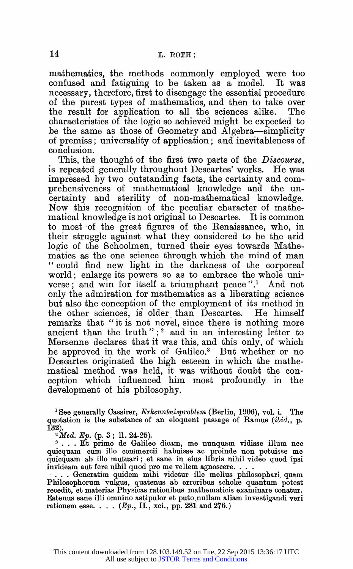**mathematics, the methods commonly employed were too confused and fatiguing to be taken as a model. It was necessary, therefore, first to disengage the essential procedure of the purest types of mathematics, and then to take over the result for application to all- the sciences alike. The characteristics of the logic so achieved might be expected to be the same as those of Geometry and Algebra-simplicity of premiss; universality of application; and inevitableness of conclusion.** 

**This, the thought of the first two parts of the Discourse, is repeated generally throughout Descartes' works. He was impressed by two outstanding facts, the certainty and comprehensiveness of mathematical knowledge and the uncertainty and sterility of non-mathematical knowledge. Now this recognition of the peculiar character of mathematical knowledge is not original to Descartes. It is common to most of the great figures of the Renaissance, who, in their struggle against what they considered to be the arid logic of the Schoolmen, turned their eyes towards Mathematics as the one science through which the mind of man " could find new light in the darkness of the corporeal world; enlarge its powers so as to embrace the whole universe; and win for itself a triumphant peace ".1 And not only the adiniration for mathematics as a liberating science but also the conception of the employment of its method in the other sciences, is older than Descartes. He himself remarks that " it is not novel, since there is nothing more ancient than the truth" ;2 and in an interesting letter to Mersenne declares that it was this, and this only, of which he approved in the work of Galileo.3 But whether or no Descartes originated the high esteem in which the mathematical method was held, it was without doubt the conception, which influenced him most profoundly in the development of his philosophy.** 

**1 See generally Cassirer, Erkenntnisproblem (Berlin, 1906), vol. i. The quotation is the substance of an eloquent passage of Ramus (ibid., p. 132).** 

**2Med. Ep. (p. 3; 11. 24-25).** 

**<sup>3</sup>. . . Et primo de Galileo dicam, me nunquam vidisse illum nec quicquam cum illo commercii habuisse ac proinde non potuisse me quicquam ab illo mutuari; et sane in eius libris nihil video quod ipsi invideam aut fere nihil quod pro me vellem agnoscere. .** 

**... Generatim quidem mihi videtur ille melius philosophari. quam Philosophorum vulgus, quatenus ab erroribus schole quantum potest recedit, et materias Physicas rationibus mathematicis examinare conatur. Eatenus sane illi omnino astipulor et puto nullam aliam investigandi veri rationem esse. . . . (Ep., II., xci., pp. 281 and 276.)**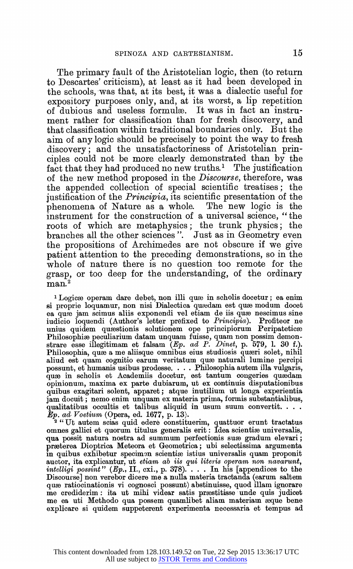**The primary fault of the Aristotelian logic, then (to return to Descartes' criticism), at least as it had been developed in the schools, was that, at its best, it was a dialectic useful for expository purposes only, and, at its worst, a lip repetition of dubious and useless formulae. It was in fact an instrument rather for dlassification than for fresh discovery, and that classification within traditional boundaries only. But the aim of any logic should be precisely to point the way to fresh discovery; and the unsatisfactoriness of Aristotelian principles could not be more clearly demonstrated than by the fact that they had produced no new truths.' The justification of the new method proposed in the Discoutrse, therefore, was the appended collection of special scientific treatises; the justification of the Principia, its scientific presentation of the**  phenomena of Nature as a whole. The new logic is the **instrument for the construction of a universal science, " the roots of which are metaphysics; the trunk physics; the branches all the other sciences". Just as in Geometry even the propositions of Archimedes are not obscure if we give patient attention to the preceding demonstrations, so in the whole of nature there is no question too remote for the grasp, or too deep for the understanding, of the ordinary man.2** 

<sup>1</sup> Logica **operam** dare debet, non illi quae in scholis docetur; ea enim si proprie loquamur, non nisi Dialectica quædam est quæ modum docet **ea qu.e jam scimus aliis exponendi vel etiam de iis que nescimus sine iudicio loquendi (Author's letter prefixed to Principia). Profiteor ne unius quidem qumestionis solutionem ope principiorum Peripateticae Philosophie peculiarium datam unquam fuisse, quam non possim demonstrare esse illegitimam et falsam (Ep. ad P. Dinot, p. 579, 1. 30 f.).**  Philosophia, quae a me aliisque omnibus eius studiosis quaeri solet, nihil **aliud est quam cognitio earum veritatum quee naturali lumine percipi possunt, et humanis usibus prodesse. . . . Philosophia autem illa vulgaris, quo in scholis et Academiis docetur, est tantum congeries qusedam opinionum, maxima ex parte dubiarum, ut ex continuis disputationibus quibus exagitari solent, apparet; atque inutilium ut longa experientia jam docuit; nemo enim unquam ex materia prima, formis substantialibus, qualitatibus occultis et talibus aliquid in usum suum convertit. Ep. ad Voetium (Opera, ed. 1677, p. 13).** 

**<sup>2</sup>"Ut autem scias quid edere constituerim, quattuor erunt tractatus**  omnes gallici et quorum titulus generalis erit: Idea scientiæ universalis, **qua possit natura nostra ad summum perfectionis sum gradum elevari; preeterea Dioptrica Meteora et Geometrica; ubi selectissima argumenta in quibus exhibetur specimen scientise istius universalis quam proponit**  auctor, ita explicantur, ut *etiam ab iis qui literis operam non navarunt*,  $intelligi$   $possint"$   $(Ep., II., cxi., p. 378).$   $\ldots$  **In** his [appendices to the **Discourse] non verebor dicere me a nulla materia tractanda (earum saltem quse ratiocinationis vi cognosci possunt) abstinuisse, quod illam ignorare**  me crediderim: ita ut mihi videar satis præstitisse unde quis judicet **me ea uti Methodo qua possem quamlibet aliam materiam seque bene explicare si quidem suppeterent experimenta necessaria et tempus ad**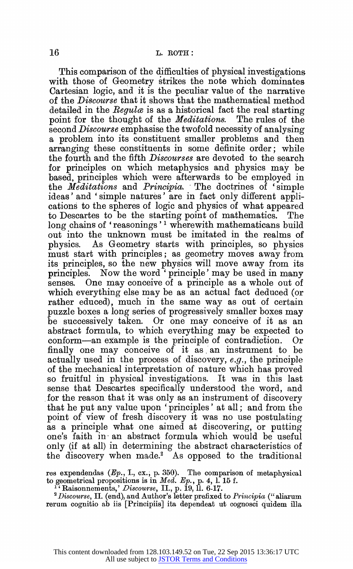**This comparison of the difficulties of physical investigations with those of Geometry strikes the note which dominates Cartesian logic, and it is the peculiar value of the narrative of the Discourse that it shows that the mathematical method**  detailed in the *Regulæ* is as a historical fact the real starting **point for the thought of the Meditations. The rules of the second Discourse emphasise the twofold necessity of analysing a problem into its constituent smaller problems and then arranging these constituents in some definite order; while the fourth and the fifth Discourses are devoted to the search for principles on which metaphysics and physics may be based, principles which were afterwards to be employed in the Meditations and Principia. The doctrines of 'simple ideas' and 'simple natures' are in fact only different applications to the spheres of logic and physics of what appeared to Descartes to be the starting point of mathematics. The**  long chains of 'reasonings'<sup>1</sup> wherewith mathematicans build **out into the unknown must be imitated in the realms of physics. As Geometry starts with principles, so physics must start with principles; as geometry moves away from its- principles, so the new physics will move away from its principles. Now the word 'principle' may be used in many senses. One may conceive of a principle as a whole out of which everything else may be as an actual fact deduced (or rather educed), much in the same way as out of certain puzzle boxes a long series of progressively smaller boxes may be successively taken. Or one may conceive of it as an abstract formula, to which everything may be expected to conform-an example is the principle of contradiction. Or**  finally one may conceive of it as an instrument to be **actually used in the process of discovery, e.g., the principle of the mechanical interpretation of nature Which has proved so fruitful in physical investigations. It was in this last sense that Descartes specifically understood the word, and for the reason that it was only as an instrument of discovery that he put any value upon 'principles' at all; and from the point of view of fresh discovery it was no use postulating as a principle what one aimed at discovering, or putting one's faith in an abstract formula which would be useful only (if at all) in determining the abstract characteristics of the discovery when made.2 As opposed to the traditional** 

**res expendendas (Ep., I., cx.; p. 350). The comparison of metaphysical**  to geometrical propositions is in *Med. Ep.*, p. 4, 1. 15 f.<br>
<sup>1</sup>' Raisonnements, *' Discourse*, II., p. 19, 11. 6-17.<br>
<sup>2</sup> Discourse, II. (end), and Author's letter prefixed to Principia ("aliarum

**rerum cognitio ab iis [Principiis] ita dependeat ut cognosci quidem illa**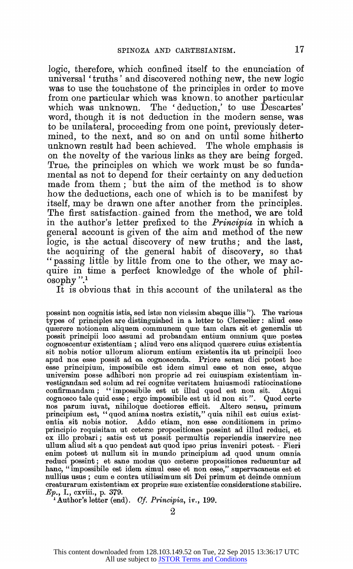**logic, therefore, which confined itself to the enunciation of universal 'truths' and discovered nothing new, the new logic was to use the touchstone of the principles in order to move frorm one particular which was known, to another particular which was unknown. The 'deduction,' to use Descartes' word, though it is not deduction in the modern sense, was to be unilateral, proceeding from one point, previously determined, to the next, and so on and on until some hitherto unknown restilt had been achieved. The whole emphasis is on the novelty of the various links as they are being forged. True. the principles on which we work must be so fundamental as not to depend for their certainty on any deduction**  made from them; but the aim of the method is to show **how the deductions, each one of which is to be manifest by itself, may be drawn one after another from the principles.**  The first satisfaction gained from the method, we are told **in the author's letter prefixed to the Principia in which a general account is given of the aim and method of the new logic, is the actual discovery of new truths; and the last, the acquiring of the general habit of discovery, so that "passing little by little from one to the other, we may ac**quire in time a perfect knowledge of the whole of phil**osophy "'.** 

**It is obvious that in this account of the unilateral as the** 

possint non cognitis istis, sed istee non vicissim absque illis "). The various **types of principles are distinguished in a letter to Clerselier: aliud esse quaerere notionem aliquem communem quoe tam clara sit et generalis ut**  possit principii loco assumi ad probandam entium omnium que postea **cognoscentur existentiam ; aliud vero ens aliquod quaerere cuius existentia sit nobis notior ullorum aliorum entium existentia ita ut principii loco apud nos esse possit ad ea cognoscenda. Priore sensu dici potest hoc esse principium, impossibile est idem simul esse et non esse, atque universim posse adhibari non proprie ad rei cuiuspiam existentiam investigandam sed solum ad rei cognitee veritatem huiusmodi ratiocinatione confirmandam; " impossibile est ut illud quod est non sit. Atqui cognosco tale quid esse; ergo impossibile est ut id non sit ". Quod certe nos parum iuvat, nihiloque doctiores efficit. Altero sensu, primum principium est, "quod anima nostra existit," quia nihil est cuius existentia sit nobis notior. Addo etiam, non esse conditionem in primo**  principio requisitam ut ceteræ propositiones possint ad illud reduci, et. **ex illo probari; satis est ut possit permultis reperiendis inservire nec ullum aliud sit a quo pendeat aut quod ipso prius inveniri potest. - Fieri**  enim potest ut nullum sit in mundo principium ad quod unum omnia reduci possint; et sane modus quo cæteræ propositiones reducuntur ad **hanc, "impossibile est idem simul esse et non esse," supervacaneus est et nullius usus; cum e contra utilissimum sit Dei primum et deinde omnium**  creaturarum existentiam ex proprie sume existentie consideratione stabilire. **Ep., I., cxviii., p. 379.** 

**'Author's letter (end). Cf. Principia, iv., 199.**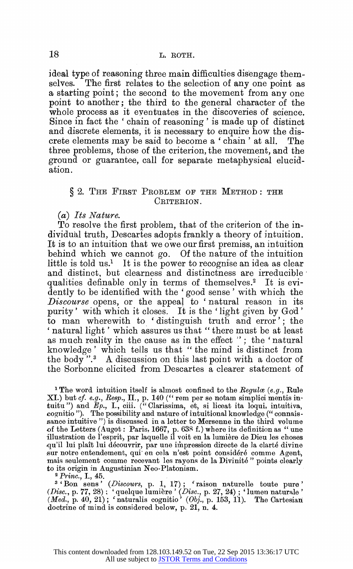ideal type of reasoning three main difficulties disengage them**selves. The first relates to the selection of any one point as a statting point; the second to the movement from any one point to another; the third to the general character of the whole process as it eyentuates in the discoveries of science. Since in fact the ' chain of reasoning' is made up of distinct and discrete elements, it is necessary to enquire how the discrete elements may be said to become a ' chain ' at all. The three problems, those of the criterion, the movement, and the ground or guarantee, call for separate metaphysical elucidation.** 

#### **? 2. THE FIRST PROBLEM OF THE METHOD: THE, CRITERION.**

**(a) Its Nature.** 

**To resolve the first problem, that of the criterion of the individual truth, Descartes adopts frankly a theory of intuition. It is to an intuition that we owe our first premiss, an intuition behind which we cannot go. Of the nature of the intuition little is told us.' It is the power to recognise an idea as clear**  and distinct, but clearness and distinctness are irreducible **qualities definable only in terms of themselves.2 It is evidently to be identified with the 'good sense' with which the Discourse opens, or the appeal to ' natural reason in its**  purity' with which it closes. It is the 'light given by God' **to man wherewith to 'distinguish truth and error'; the 'natural light ' which assures us that " there must be at least as much reality in the cause as in the effect "; the 'natural knowledge' which tells us that " the mind is distinct from the body ".3 A discussion on this last point with a doctor of the Sorbonne elicited from Descartes a clearer statement of** 

**1 The word intuition itself is almost confined to the Regula (e.g., Rule XI.) but cf. e.g., Resp., II., p. 140 (" rem per se notam simplici mentis in**tuitu ") and  $Ep$ , **I.**, ciii. ("Clarissima, et, si liceat ita loqui, intuitiva, cognitio "). The possibility and nature of intuitional knowledge (" connais **sance intuitive ") is discussed in a letter to Mersenne in the third volume of the Letters (Augot: Paris, 1667, p. 638 f.) where its definition as " une illustration de l'esprit, par laquelle il voit en la lumiere de Dieu les choses**  qu'il lui plaît lui découvrir, par une impression directe de la clarté divine sur notre entendement, qui en cela n'est point considéré comme Agent, **mais seulement comme recevant les rayons de la Divinite " points clearly to its origin in Augustinian Neo-Platonism.** 

**<sup>2</sup>Princ., I., 45.** 

<sup>3</sup> **'Bon** sens' (*Discours*, p. 1, 17); 'raison naturelle toute pure' **(Disc., p. 77, 28); 'quelque lumi6re' (Disc., p. 27, 24) ; 'lumen naturale ' (Med., p. 40, 21); ' naturalis cognitio' (Obj., p. 153, 11). The Cartesian doctrine of mind is considered below, p. 21, n. 4.**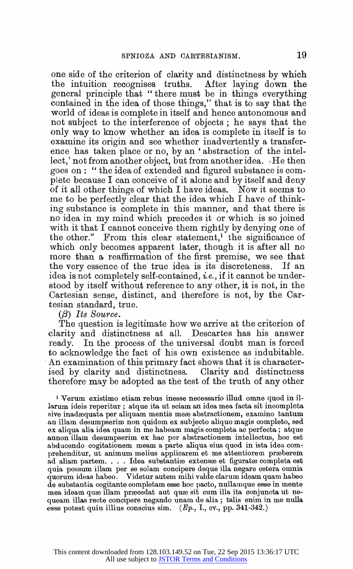**one side of the criterion of clarity and distinctness by which the intuition recognises truths. After laying down the general principle that " there must be in things everything contained in the idea of those things," that is to say that the world of ideas is complete in itself and hence autonomous and not subject to the interference of objects ; he says that the only way to know whether an idea is complete in itself is to examine its origin and see whether inadvertently a transference has taken place or no, by an 'abstraction of the intel**lect,' not from another object, but from another idea. He then **goes on: " the idea of extended and figured substance is complete because I can conceive of it alone and by itself and deny of it all other things of which I have ideas. Now it seems to**  me to be perfectly clear that the idea which I have of think**ing substance is complete in this manner, and that there is no idea in my mind which precedes it or which is so joined with it that I cannot conceive them rightly by denying one of the other." From this clear statement,' the significance of which only becomes apparent later, though it is after all no more than a reaffirmation of the first premise, we see that the very essence of the true idea is its discreteness. If an idea is not completely self-contained, i.e., if it cannot be understood by itself without reference to any other, it is not, in the Cartesian sense, distinct, and therefore is not, by the Cartesian standard, true.** 

**(,8) Its Source.** 

**The question is legitimate how we arrive at the criterion of clarity and distinctness at all. Descartes has his answer ready. In the process of the universal doubt man is forced to acknowledge the fact of his own existence as indubitable. An examination of this primary fact shows that it is characterised by clarity and distinctness. Clarity and distinctness therefore may be adopted as the test of the truth of any other** 

**1 Verum existimo etiam rebus inesse necessario illud omne quod in illarum ideis reperitur; atque ita ut sciam an idea mea facta sit incompleta**  sive inadæquata per aliquam mentis meæ abstractionem, examino tantum **an illam desumpserim non quidem ex subjecto aliquo magis completo, sed ex aliqua alia idea quam in me habeam magis completa ac perfecta; atque annon illam desumpserim ex hae per abstractionem intellectus, hoc est abducendo cogitationem rneam a parte aliqua eius quod in ista idea comprehenditur, ut animum melius applicarem et me attentiorem proeberem**  ad aliam partem. . . . Idea substantiae extensae et figuratae completa est **quia possum illam per se solam concipere deque illa negare cetera omnia quorum ideas habeo. Videtur autem mihi valde clarum ideam quam habeo de substantia cogitante completam esse hoc pacto, nullaruque esse in mente mea ideam quae illam proecedat aut quoe sit cum illa ita conjuncta ut nequearn illas recte concipere negando unam de alia; talis enim in me nulla esse potest quin illius conscius sim. (Ep., I., cv., pp. 341-342.)**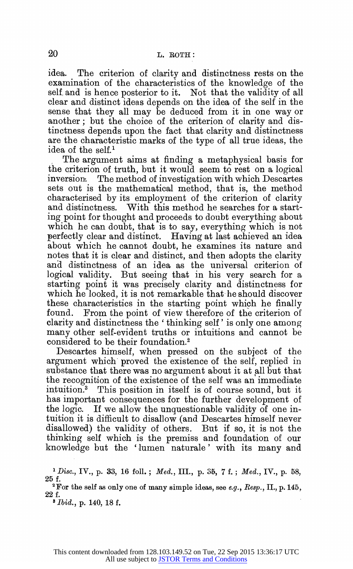**idea. The criterion of clarity and distinctness rests on the examination of the characteristics of the knowledge of the self, and is hence posterior to it. Not that the validity of all clear and distinct ideas depends on the idea of the self in the sense that they all may be deduced from it in one way or another; but the choice of the criterion of clarity and distinctness depends upon the fact that clarity and distinctness are the characteristic marks of the type of all true ideas, the idea of the self.'** 

**The argument aims at finding a metaphysical basis for the criterion of truth, but it would seem to rest on a logical inversion: The method of investigation with which Descartes sets out is the mathematical method, that is, the method characterised by its employment of the criterion of clarity and distinctness. With this method he searches for a starting point for thought and proceeds to doubt everything about which he can doubt, that is to say, everything which is not perfectly clear and distinct. Having at last achieved an idea about which he cannot doubt, he examines its nature and notes that it is clear and distinct, and then adopts the clarity and distinctness of an idea as the universal criterion of logical validity. But seeing that in his very search for a starting point it was precisely clarity and distinctness for which he looked, it is not remarkable that he should discover these characteristics in the starting point which he finally found. From the point of view therefore of the criterion of clarity and distinctness the 'thinking self ' is only one among many other self-evident truths or intuitions and cannot be considered to be their foundation.2** 

**Descartes himself, when pressed on the subject of the argument which proved the existence of the self, replied in substance that there was no argument about it at all but that the recognition of the existence of the self was an immediate intuition.3 This position in itself is of course sound, but it has important consequences for the further development of the logic. If we allow the unquestionable validity of one intuition it is difficult to disallow (and Descartes himself never disallowed) the validity of others. But if so, it is not the thinking self which is the premiss and foundation of our knowledge but the 'lumen naturale' with its many and** 

**1 Disc., IV., p. 33, 16 foll.; Med., III., p. 35, 7 f.; Med., IV., p. 58, 25 f.** 

**'For the self as only one of many simple ideas, see e.g., Resp., II., p. 145, 22 f.** 

**<sup>8</sup>Ibid., p. 140, 18 f.**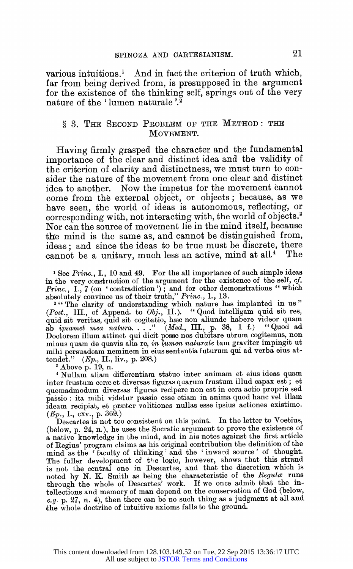**various intuitions.' And in fact the criterion of truth which, far from being derived from, is presupposed in the argument for the existence of the thinking self, springs out of the very nature of the 'lumen naturale 2.2** 

#### **? 3. THE SECOND PROBLEM OF THE METHOD: THE MOVEMENT.**

**Having firmly grasped the character and the fundamental importance of the clear and distinct idea and the validity of the criterion of clarity and distinctness, we must turn to consider the nature of the movement from one clear and distinct idea to another. Now the impetus for the movement cannot come from the external object, or objects; because, as we have seen, the world of ideas is autonomous, reflecting, or corresponding with, not interacting with, the world of objects.3 Nor can the source of movement lie in the mind itself, because the mind is the same as, and cannot be distinguished from, ideas; and since the ideas to be true must be discrete, there cannot be a unitary, much less an active, mind at all.4 The** 

**<sup>I</sup>See Princ., I., 10 and 49. For the all importance of such simple ideas**  in the very construction of the argument for the existence of the self, *cf*. Princ., I., 7 (on 'contradiction'); and for other demonstrations " which **absolutely convince us of their truth," Princ., I., 13.** 

**<sup>2</sup>" The clarity of understanding which nature has implanted in us" (Post., III., of Append. to Obj., II.). " Quod intelligam quid sit res, quid sit veritas, quid sit cogitatio, hiec non aliunde habere videor quam ab ipsamet rmea natura. . . ." (Med., Ill., p. 38, 1 f.) " Quod ad Doctorern illum attinet qui dicit posse nos dubitare utrum cogitemus, non minus quam de quavis alia re, in lumen naturale tam graviter impingit ut mihi persuadeam neminem in eius sententia futurum qui ad verba eius attendet." (Ep., II., liv., p. 208.)** 

**3 Above p. 19, n.** 

**<sup>4</sup>Nullam aliam differentiam statuo inter animam et eius ideas quam inter frustum cerae et diversas figuras quarum frustum illud capax est; et quemadmodum diversas figuras recipere non est in cera actio proprie sed passio: ita mihi videtur passio esse etiam in anima quod hanc vel illam**  ideam recipiat, et præter volitiones nullas esse ipsius actiones existimo. **(Ep., I., cxv., p. 369.)** 

**Descartes is not too consistent on this point. In the letter to Voetius, (below, p. 24, n.), he uses the Socratic argument to prove the existence of a native knowledge in the mind, and in his notes against the first article of Regius' program claims as his original contribution the definition of the mind as the ' faculty of thinking ' and the ' inward source ' of thought.**  The fuller development of the logic, however, shows that this strand **is not the central one in Descartes, and that the discretion which is**  noted by N. K. Smith as being the characteristic of the Regula runs **through the whole of Descartes' work. If we once admit that the intellections and memory of man depend on the conservation of God (below, e.g. p. 27, n. 4), then there can be no such thing as a judgment at all and the whole doctrine of intuitive axioms falls to the ground.**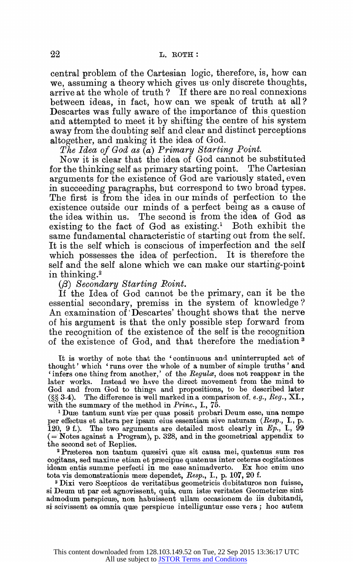**central problem of the Cartesian logic, therefore, is, how can we, assuming a theory which gives us only discrete thoughts, arrive at the whole of truth ? If there are no real connexions between ideas, in fact, how can we speak of truth at all? Descartes was fully aware of the importance of this question and attempted to meet it by shifting the centre of his system away from the doubting self and clear and distinct perceptions altogether, and making it the idea of God.** 

**The Idea of God as (a) Primary Starting Point.** 

**Now it is clear that the idea of God cannot be substituted for the thinking self as primary starting point. The Cartesian arguments for the existence of God are variously stated, even in succeeding paragraphs, but correspond to two broad types. The first is from the idea in our minds of perfection to the existence outside our minds of a perfect being as a cause of the idea within us. The second is from the idea of God as existing to the fact of God as existing.1 Both exhibit the same fundamental characteristic of starting out from the self. It is the self which is conscious of imperfection and the self which possesses the idea of perfection. It is therefore the**  self and the self alone which we can make our starting-point **in thinking.2** 

**(i3) Secondary Starting Point.** 

**If the Idea of God cannot be the primary, can it be the essential secondary, premiss in the system of knowledge? An examination of Descartes' thought shows that the nerve of his argument is that the only possible step 'forward from the recognition of the existence of the self is the recognition of the existence of God, and that therefore the mediation <sup>3</sup>**

**It is worthy of note that the 'continuous and uninterrupted act of thought' which 'runs over the whole of a number of simple truths' and**   $\mathbf{F}$  infers one thing from another,' of the *Regula*, does not reappear in the **later works. Instead we have the direct movement from the mind to God and from God to things and propositions, to be described later**   $(\S \S 3.4)$ . The difference is well marked in a comparison of, e.g., Reg., XI. **with the summary of the method in Princ., I., 75.** 

**1 Dume tantum sunt vice per quas possit probari Deum esse, una nempe**  per effectus et altera per ipsam eius essentiam sive naturam (Resp., I., p. **120, 9 f.). The two arguments are detailed most clearly in Ep., I., 99 (= Notes against a Program), p. 328, and in the geometrical appendix to the second set of Replies.** 

**<sup>2</sup>Praterea non tantum quaesivi quoe sit causa mei, quatenus sum res cogitans, sed maxirne etiam et proecipue quatenus inter ceteras cogitationes ideam entis summe perfecti in me esse animadverto. Ex hoc enim uno**  tota vis demonstrationis meæ dependet, Resp., I., p. 107, 20 f.

<sup>3</sup> Dixi vero Scepticos de veritatibus geometricis dubitaturos non fuisse, si Deum ut par est agnovissent, quia, cum istæ veritates Geometrica sint **admodum perspiceue, non habuissent ullam occasionem de iis dubitandi,**  si scivissent ea omnia quæ perspicue intelliguntur esse vera; hoc autem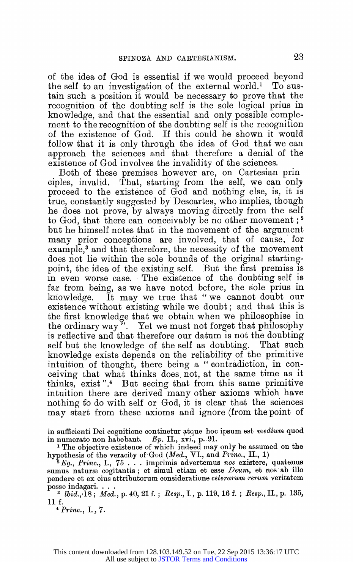**of the idea of God is essential if we would proceed beyond the self to an investigation of the external world.' To sustain such a position it would be necessary to prove that the recognition of the doubting self is the sole logical prius in knowledge, and that the essential and only possible complement to the recognition of the doubting self is the recognition of the existence of God. If this could be shown it would**  follow that it is only through the idea of God that we can **approach the sciences and that therefore a denial of the existence of God involves the invalidity of the sciences.** 

**Both of these premises however are, on Cartesian prin ciples, invalid. That, starting from the sell, we can only proceed to the existence of God and nothing else, is, it is true, constantly suggested by' Descartes, who implies, though he does not prove, by always moving directly from the self to God, that there can conceivably be no other movement; <sup>2</sup> but he himself notes that in the movement of the argument many prior conceptions are involved, that of cause, for**  example,<sup>3</sup> and that therefore, the necessity of the movement **does not lie within the sole bounds of the original startingpoint, the idea of the existing self. But the first premiss is in even worse case. - The existence of the doubting self is far from being, as we have noted before, the sole prius in**  knowledge. It may we true that "we cannot doubt our **existence without existing while we doubt; and that this is the first knowledge that we obtain when we philosophise in the ordinary way ". Yet we must not forget that philosophy is reflective and that therefore our datum is not the doubting self but the knowledge of the self as doubting. That such knowledge exists depends on the reliability of the primitive intuition of thought, there being a " contradiction, in conceiving that what thinks does not, at the same time as it thinks, exist ". But seeing that from this same primitive intuition there are derived many other axioms which have nothing fo do with self or God, it is clear that the sciences may start from these axioms and ignore (from thepoint of** 

**in sufficienti Dei cognitione continetur atque hoc ipsum est medium quod in numerato non habebant. Ep. II., xvi., p..91.** 

**1 The objective existence of which indeed may only be assumed on the hypothesis of the veracity of God (Med., VI., and Prine., II., 1)** 

**2Eg., Prine., I., 75 . . . imprimis advertemus nos existere, quatenus sumus naturae cogitantis; et simul etiam et esse Deum, et nos' ab illo pendere et ex eius attributorum consideratione ceterarum rerum veritatem posse indagari. ...** 

**3 lbid.,1I8; Med., p. 40, 21 f.; Resp., 1., p. 119, 16 f. ; Resp., II., p. 135, 11 f.** 

**4Princ., I., 7.**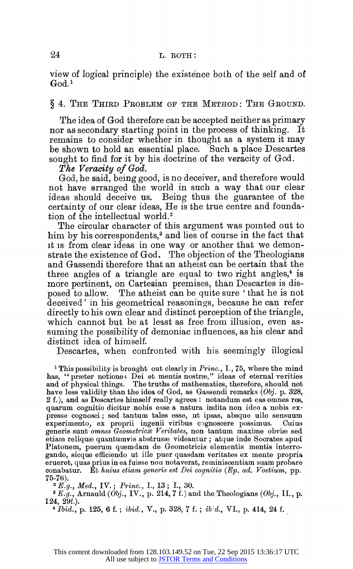view of logical principle) the existence both of the self and of **God.'** 

#### **? 4. THE THIRD PROBLEM OF THE METHOD: THE GROUND.**

**The idea of God therefore can be accepted neither as primary nor as secondary starting point in the process of thinking. It**  remains to consider whether in thought as a system it may **be shown to hold an essential place. Such a place Descartes sought to find for it by his doctrine of the veracity of God.** 

**The Veracity of God.** 

**God, he said, being good, is no deceiver, and therefore would not have arranged the world in such a way that our clear ideas should deceive us. Being thus the guarantee of the certainty of our clear ideas, He is the true centre and foundation of the intellectual world.2** 

**The circular character of this argument was pointed out to him by his correspondents,3 and lies of course in the fact that it is from clear ideas in one way or another that we demonstrate the existence of God. The objection of the Theologians and Gassendi therefore that an atheist can be certain that the three angles of a triangle are equal to- two right angles,4 is more pertinent, on Cartesian premises, than Descartes is disposed to allow. The atheist can be quite sure 'that he is not deceived' in his geometrical reasonings, because he can refer directly to his own clear and distinct perception of the triangle, which cannot but be at least as free from illusion, even assuming the possibility of demoniac influences, as his clear and distinct idea of himself.** 

**Descartes, when confronted with his seemingly illogical** 

**'This possibility is brought out clearly in Princ., 1., 75, where the mind**  has, "præter notiones Dei et mentis nostræ," ideas of eternal verities and of physical things. The truths of mathematics, therefore, should not **have less validity than the idea of God, as Gassendi remarks (Obj. p. 328, 2 f.), and as I)escartes himself really agrees: notandum est eas omnes res, quarum cognitio dicitur nobis esse a natura indita non ideo a nobis expresse cognosci; sed tantum tales esse, ut ipsas, absque ullo sensuum**  experimento, ex proprii ingenii viribus cognoscere possimus. Cuius generis sunt omnes Geometrica Veritates, non tantum maxime obviæ sed etiam reliquæ quantumvis abstrusæ videantur; atque inde Socrates apud **Platonem, puerum quemdam de Geometricis elementis mentis interrogando, sicque efficiendo ut ilIe puer quasdam veritates ex mente propria erueret, quas prius in ea fuisse noa notaverat, reminiscentiam suam probare conabatur. Et huius etiam generis est Dei cognitio (Ep. ad. Voetium, pp. 75-76).** 

**2E.g., Med., IV.; Princ., I., 13; I., 30.** 

**3 E.g., Arnauld (Obj., IV., p. 214, 7 f.) and the Theologians (Obj., 11., p. 124, 29f.).** 

**4** Ibid., **p. 125, 6** f.; ibid., V., **p.** 328, 7 f.; ibid., VI., **p. 414, 24** f.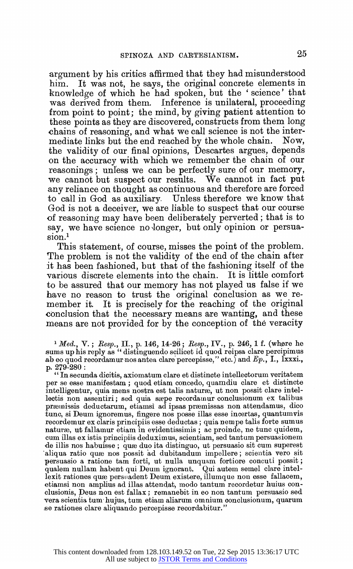**argument by his critics affirmed that they had misunderstood him. It was not, he says, the original concrete elements in knowledge of which he had spoken, but the ' science' that**  was derived from them. Inference is unilateral, proceeding **from point to point; the mind, by giving patient attention to these points as they are discovered, constructs from them long chains of reasoning, and what we call science is not the intermediate links but the end reached by the whole chain. Now, the validity of our final opinions, Descartes argues, depends on the accuracy with which we remember the chain of our reasonings; unless we can be perfectly sure of our memory, we cannot but suspect our results. We cannot in fact put any reliance on thought as continuous and therefore are forced to call in God as auxiliary. Unless therefore we know that God is not a deceiver, we are liable to suspect that our course of reasoning may have been deliberately perverted; that is to say, we have science no longer, but only opinion or persuasion.'** 

**This statement, of course, misses the point of the problem. The problem is not the validity of the end of the chain after it has been fashioned, but that of the fashioning itself of the various discrete elements into the chain. It is little comfort to be assured that our memory has not played us false if we have no reason to trust the original conclusion as we remember it. It is precisely for the reaching of the original conclusion that the necessary means are wanting, and these means are not, nrovided for by the concention of the veracity** 

**1 Med., V.; Resp., II., p. 146, 14-26; Resp., IV., p. 246, 1 f. (where he sums up his reply as " distinguendo scilicet id quod reipsa clare percipimus ab eo quod recordamur nos antea clare percepisse," etc.) and Ep., I., lxxxi., p. 279-280:** 

**" In secunda dicitis, axiomatum clare et distincte intellectorum veritatem**  per se esse manifestam ; quod etiam concedo, quamdiu clare et distincte **intelligentur, quia mens nostra est talis naturee, ut non possit dlare intellectis non assentiri; sed quia saepe recordainur conclusionum ex talibus**  præmissis deductarum, etiamsi ad ipsas præmissas non attendamus, dico **tune, si Deum ignoremus, fingere nos posse illas esse incertas, quantumvis recordemur ex claris principiis esse deductas; quia nem pe talis forte sumus naturae, ut fallamur etiam in evidentissimis; ac proinde, ne tune quidem, cum illas ex istis principiis deduximus, scientiarn, sed tantum persuasionem**  de illis nos habuisse; quæ duo ita distinguo, ut persuasio sit cum superest **aliqua ratio quse nos possit ad dubitandum impollere; scientia vero sit**  persuasio a ratione tam forti, ut nulla unquam fortiore concuti possit; qualem nullam habent qui Deum ignorant. Qui autem semel clare intellexit rationes quæ persuadent Deum existere, illumque non esse fallacem, **etiamsi non amplius ad illas attendat, modo tantum recordetur huius conclusionis, Deus non est fallax; remanebit in eo non tantum persuasio sed**  vera scientia tum hujus, tum etiam aliarum omnium conclusionum, quarum **-se rationes dlare aliquando percepisse recordabitur."**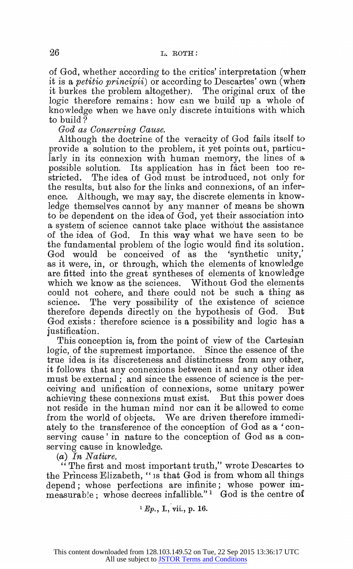**of God, whether according to the critics' interpretation (when it is a petitio principii) or according to Descartes' own (when it burkes the problem altogether). The original crux of the logic therefore remains: how can we build up a whole of knowledge when we have only discrete intuitions with which to build ?** 

**God as Conserving Cause.** 

**Although the doctrine of the veracity of God fails itself to**  provide a solution to the problem, it yet points out, particu**larly in its connexion with human memory, the lines of a**  possible solution. Its application has in fact been too re**stricted. The idea of God must be introduced, not only for the results, but also for the links and connexions, of an infer**ence. Although, we may say, the discrete elements in know**ledge themselves cannot by any manner of means be shown**  to be dependent on the idea of God, yet their association into **a system of science cannot take place witho'ut the assistance of the idea of God. In this way what we have seen to be the fundamental problem of the logic would find its solution.**  God would be conceived of as the 'synthetic unity,' **as it were, in, or through, which the elements of knowledge are fitted into the great syntheses of elements of knowledge**  which we know as the sciences. Without God the elements could not cohere, and there could not be such a thing as **science. The very possibility of the existence of science therefore depends directly on the hypothesis of God. But God exists: therefore science is a possibility and logic has a justification.** 

**This conception is, from the point of view of the Cartesian logic, of the supremest importance. Since the essence of the true idea is its discreteness and distinctness from any other, it follows that any connexions between it and any other idea must be external; and since the essence of science is the perceiving and unification of connexions, some unitary power achieving these connexions must exist. But this power does not reside in the human mind nor can it be allowed to come from the world of objects. We are driven therefore immediately to the transference of the conception of God as a 'conserving cause' in nature to the conception of God as a conserving cause in knowledge.** 

(a) In Nature.

**" The first and most important truth," wrote Descartes to the Princess Elizabeth, " is that God is fromn whom all things depend; whose perfections are infinite; whose power immeasurable; whose decrees infallible." 1 God is the centre of** 

**1 Ep., I., vii., p. 16.**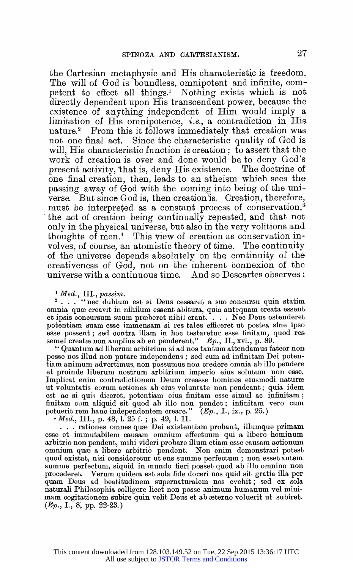**the Cartesian metaphysic and His characteristic is freedom. The will of God is boundless, omnipotent and infinite, competent to effect all things.1 Nothing exists which is not directly dependent upon His transcendent power, because the**  existence of anything independent of Him would imply a **limitation of His omnipotence, i.e., a contradiction in His nature.2 From this it follows immediately that creation was not one final act. Since the characteristic quality of God is will, His characteristic function is creation; to assert that the work of creation is over and done would be to deny God's present activity, that is, deny His existence. The doctrine of one final creation, then, leads to an atheism which sees the passing away of God with the coming into being of the universe. But since God is, then creation is. Creation, therefore,**  must be interpreted as a constant process of conservation,<sup>3</sup> **the act of creation being continually repeated, and that not only in the physical universe, but also in the very volitions and thoughts of men.4 This view of creation as conservation involves, of course, an atomistic theory of time. The continuity of the universe depends absolutely on the continuity of the creativeness of God, not on the inherent connexion of the universe with a continuous time. And so Descartes observes:** 

#### **<sup>I</sup>Med., III., passim.**

**2 . "nec dubium est si Deus cessaret a suo concursu quin statim**  omnia quæ creavit in nihilum essent abitura, quia antequam creata essent **et, ipsis concursum suum praeberet nihil erant. . . . Nec Deus ostenderet potentiam suam esse immensam si res tales efficeret ut postea sine ipso**  esse possent; sed contra illam in hoc testaretur esse finitam, quod res semel creates non amplius ab eo penderent."  $Ep.$ , **II**., xvi., p. 89.

**"Quantum ad liberum arbitrium si ad nos tantum attendamus fateor non posse nos illud non putare independens; sed cum ad infinitam Dei potentiam animum advertimus, non possumus non credere omnia ab illo pendere et proinde liberum nostrum arbitrium imperio eius solutum non esse. Implicat enim contradictionem Deum creasse homines eiusmodi natura ut voluntatis eorum actiones ab eius voluntate non pendeant; quia idem est ac si quis diceret, potentiam eius finitam esse simul ac infinitam finitam cum aliquid sit quod ab illo non pendet; infinitam vero cum**  potuerit rem hanc independentem creare." (Ep., I., ix., p. 25.)

**-Med., III., p. 48, 1. 25 f. ; p. 49, 1. 11.** 

**. . .rationes omnes que Dei existentiam probant, illumque primam esse et immutabilem causam omnium effectuum qui a libero hominum arbitrio non pendent, mihi videri probare illum etiam esse causam actionum**  omnium quæ a libero arbitrio pendent. Non enim demonstrari potest **quod existat, nisi consideretur ut ens summe perfectum; non esset autem**  summe perfectum, siquid in mundo fieri posset quod ab illo omnino non **procederet. Verum quidem est sola fide doceri nos quid sit gratia illa per quam Deus ad beatitudinem supernaturalem nos evehit; sed ex sola naturali Philosophia colligere licet non posse animum humanum vel minimam cogitationem subire quin velit Deus et ab aeterno voluerit ut subiret. (Ep., I., 8; pp. 22-23.)**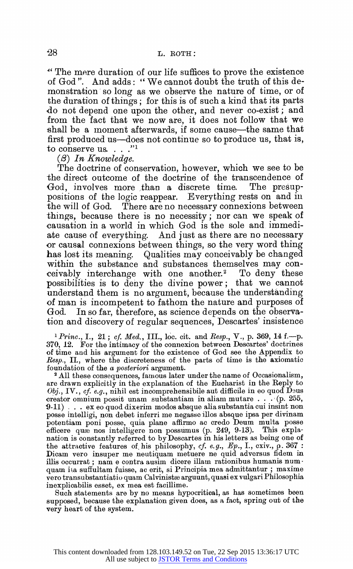**` The mere duration of our life suffices to prove the existence of God ". And adds: " We cannot doubt the truth of this demonstration so long as we observe the nature of time, or of the duration of things; for this is of such a kind that its parts do not depend one upon the other, and never co-exist; and from the fact that we now are, it does not follow that we**  shall be a moment afterwards, if some cause—the same that **first produced us-does not continue so to produce us, that is, to conserve us.** 

**(8) In Knowledge.** 

**The doctrine of conservation, however, which we see to be the direct outcome of the doctrine of the transcendence of**  God, involves more than a discrete time. **positions of the logic reappear. Everything rests on and in the will of God. There are no necessary connexions between things, because there is no necessity; nor can we speak of causation in a world in which God is the sole and immediate cause of everything. And just as there are no necessary or causal connexions between things, so the very word thing**  has lost its meaning. Qualities may conceivably be changed **within the substance and substances themselves may conceivably interchange with one another.2 To deny these possibilities is to deny the divine power; that we cannot understand them is no argument, because the understanding of man is incompetent to fathom the nature and purposes of God. In so far, therefore, as science depends on the observation and discovery of regular sequences, Descartes' insistence** 

**' Princ., I., 21; cf. Med., III., lce. cit. and Resp., V., p. 369, 14 f.-p. 370, 12. For the intirnacy of the connexion between Descartes' doctrines of time and his argument for the existence of God see the Appendix to Resp., II., where the discreteness of the parts of time is the axiomatic foundation of the a posteriori argument.** 

**<sup>2</sup>All these consequences, famous later under the name of Occasionalism, are drawn explicitly in the explanation of the Eucharist in the Reply to**  Obj., IV., cf. e.g., nihil est incomprehensibile aut difficile in eo quod D<sup>3</sup>us **creator omnium possit unam substantiam in aliam mutare**  $\ldots$  **(p. 255, 0-11) . . . ex eo quod dixerim modos absque alia substantia cui insint non posse intelligi, non debet inferri me negasse illos absque ipsa per divinam potentiam poni posse, quia plane affirmo ac credo Deum multa posse**  efficere que nos intelligere non possumus (p. 249, 9-13). This expla**nation is constantly referred to by Descartes in his letters as being one of the attractive features of, his philosophy, cf. e.g., Ep., I., cxiv., p. 367:**  Dicam vero insuper me neutiquam metuere ne quid adversus fidem in **illis occurrat; nam e contra ausim dicere illain rationibus humanis num quam ii,a suffultam fuisse, ac erit, si Principia mea admittantur; maxime vero transubstantiatio quam Calvinistoe arguunt, quasi ex vulgari Philosophia inexplicabilis esset, ex mea est facillime.** 

**Such statements are by no means hypocritical, as has sometimes been supposed, because the explanation given does, as a fact, spring out of the very heart of the system.**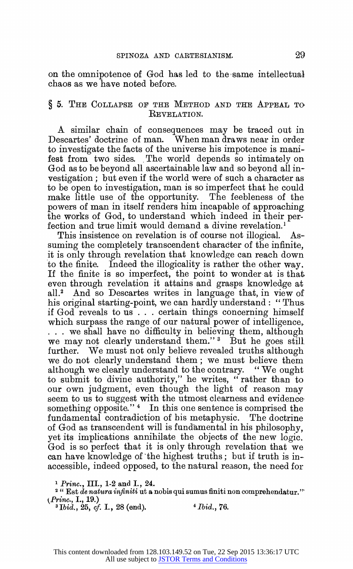**on the omnipotence of God has led to the same intellectual chaos as we have noted before.** 

# $\frac{1}{2}$  5. The Collapse of the Method and the Appeal to **REVELATION.**

**A similar chain of consequences may be traced out in**  Descartes' doctrine of man. When man draws near in order **to investigate the facts of the universe his impotence is manifest from two sides. The world depends so intimately on God as to be beyond all ascertainable law and so beyond all investigation; but even if the world were of such a character as to be open to investigation, man is so imperfect that he could make little use of the opportunity. The feebleness of the powers of man in itself renders him incapable of approaching the works of God, to understand which indeed in their perfection and true limit would demand a divine revelation.'** 

**This insistence on revelation is of course not illogical. Assuming the completely transcendent character of the infinite, it is only through revelation that knowledge can reach down to the finite. Indeed the illogicality is rather the other way. If the finite is so imperfect, the point to wonder-at is that even through revelation it attains and grasps knowledge at all.2 And so Descartes writes in language that, in view of his original starting-point, we can hardly understand: " Thus. if God reveals to us . . . certain things concerning himself which surpass the range of our natural power of intelligence, . . . we shall have no difficulty in believing them, although we may not clearly understand them." 3 But he goes still, further. We must not only believe revealed truths although we do not clearly understand them; we must believe them although we clearly understand to the contrary. " We ought to submit to divine authority," he writes, " rather than to our own judgment, even though the light of reason may seem to us to suggest with the utmost clearness and evidence something opposite." 4 In this one sentence is comprised the fundamental contradiction of his metaphysic. The doctrine of God as transcendent will is fund'amental in his philosophy, yet its implications annihilate the objects of the new logic. God is so perfect that it is only through revelation that we can have knowledge of 'the highest truths; but if truth is in-**  accessible, indeed opposed, to the natural reason, the need for

**IPrinc., III., 1-2 and I., 24.** 

<sup>2</sup> " Est *de natura infiniti* ut a nobis qui sumus finiti non comprehendatur."<br>(*Princ.*, I., 19.)

 $^{3}$  Ibid., 25, cf. I., 28 (end).  $^{4}$  *Ibid.*, 76.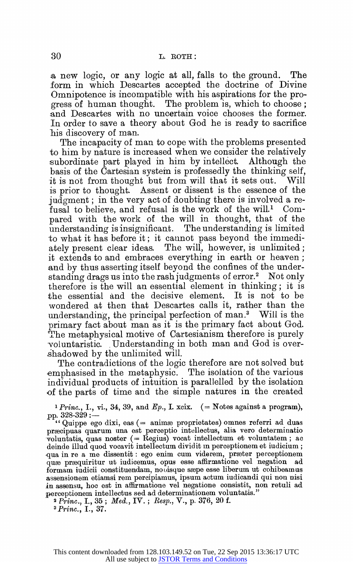**a new logic, or any logic at all, falls to the ground. The form in which Descartes accepted the doctrine of Divine Omnipotence is incompatible with his aspirations for the progress of human thought. The problem is, which to choose; and Descartes with no uncertain voice chooses the former. In order to save a theory about God he is ready to sacrifice his discovery of man.** 

**The incapacity of man to cope with the problems presented to him by nature is increased when we consider the relatively subordinate part played in him by intellect. Although the basis of the Cartesian system is professedly the thinking self, it is not from thought but from will that it sets out. Will is prior to thought. Assent or dissent is the essence of the judgment; in the very act of doubting there is involved a refusal to believe, and refusal is the work of the will.' Compared with the work of the will in thought, that of the understanding is insignificant. The understanding is limited to what it has before it; it cannot pass beyond the imnediately present clear ideas. The will, however, is unlimited; it extends to and embraces everything in earth or heaven; and by thus asserting itself beyond the confines of the understanding drags us into the rash judgments of error.2 Not only therefore is the will an essential element in thinking; it is the essential and the decisive element. It is not to be wondered at then that Descartes calls it, rather than the understanding, the principal perfection of man.3 Will is the primary fact about man as it is the primary fact about God.**  The metaphysical motive of Cartesianism therefore is purely voluntaristic. Understanding in both man and God is over-**.shadowed by the unlimited will.** 

**The contradictions of the logic therefore are not solved but emphasised in the metaphysic. The isolation of the various individual products of intuition is parallelled by the isolation of the parts of time and the simple natures in the created** 

 $1 \text{ } Princ., \text{ I., vi., 34, 39, and } \text{ } Ep., \text{ I. xcix. } (= \text{Notes against a program}),$ **pp. 328-329:** 

**"Quippe ego dixi, eas (= animie proprietates) omnes referri ad duas prancipuas quarum una est pereeptio intellectus, alia vero determinatio -voluntatis, quas noster (= Regius) vocat intellectum et voluntatem; ac deinde illud quod vocavit intellectum dividit in perceptionem et iudicium ;**  qua in re a me dissentit : ego enim cum viderem, præter perceptionem que præquiritur ut iudicemus, opus esse affirmatione vel negation ad formam iudicii constituendam, nouisque sæpe esse liberum ut cohibeamus assensionem etiamsi rem percipiamus, ipsum actum iudicandi qui non nisi **in assensu, hoc est in affirmatione vel negatione consistit, non retuli ad perceptionem intellectus sed ad determinationem voluntatis."** 

**2 Piinc., I., 35; Med., IV.; Resp., V., p. 376, 20 f.** 

**3Frinc., I., 37.**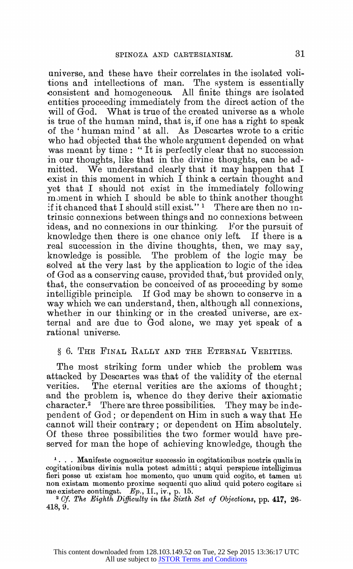**aniverse, and these have their correlates in the isolated volitions and intellections of man. The system is essentially consistent and homogeneous. All finite things are isolated entities proceeding immediately from the direct action of the**  will of God. What is true of the created universe as a whole **is true of the human mind, that is, if one has a right to speak of the 'human mind' at all. As Descartes wrote to a critic who had objected that the whole argument depended on what was meant by time: " It is perfectly clear that no succession in our thoughts, like that in the divine thoughts, can be admitted. We understand clearly that it may happen that I**  exist in this moment in which I think a certain thought and **yet that I should not exist in the immediately following moment in which I should be able to think another thought**  if it chanced that I should still exist."<sup>1</sup> There are then no in**trinsic connexions between things and no connexions between ideas, and no connexions in our thinking. For the pursuit of knowledge then there is one chance only left. If there is a real succession in the divine thoughts, then, we may say, knowledge is possible. The problem of the logic may be solved at the very last by the application to logic of the idea**  of God as a conserving cause, provided that, but provided only, **that, the conservation be conceived of as proceeding by some intelligible principle. If God may be shown to conserve in a way which we can understand, then, although all connexions,**  whether in our thinking or in the created universe, are ex**ternal and are due to God alone, we may yet speak of a rational universe.** 

#### **? 6. THE FINAL RALLY AND THE ETERNAL VERITIES.**

**The most striking form under whicb the problem was attacked by Descartes was that of the validity of the eternal**  verities. The eternal verities are the axioms of thought; **and the problem is, whence do they derive their axiomatic**  character.<sup>2</sup> There are three possibilities. They may be inde**pendent of God; or dependent on Him in such a way that He cannot will their contrary; or dependent on Him absolutely. Of these three possibilities the two former would have preserved for man the hope of achieving knowledge, though the** 

<sup>1</sup> . . . Manifeste cognoscitur successio in cogitationibus nostris qualis in **cogitationibus divinis nulla potest admitti; atqui perspicue intelligimus fieri posse ut existam hoc momento, quo unum quid cogito, et tamen ut non existam momento proxime sequenti quo aliud quid potero cogitare si** 

**me existere contingat. Ep., II., iv., p. 15. <sup>2</sup>Cf. The Eighth Difficulty in the Sixth Set of Objections, pp. 417, 26- 418, 9.**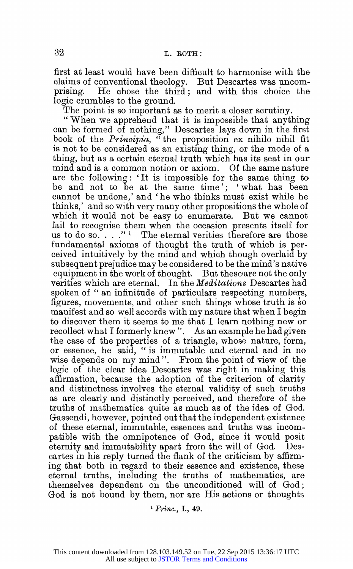**first at least would have been difficult to harmonise with the claims of conventional theology. But Descartes was uncomprising. He chose the third; and with this choice the logic crumbles to the ground.** 

**The point is so important as to merit a closer scrutiny.** 

**" When we apprehend that it is impossible that anything can be formed of nothing," Descartes lays down in the first**  book of the Principia, "the proposition ex nihilo nihil fit **is not to be considered as an existing thing, or the mode of a thing, but as a certain eternal truth which has its seat in our mind and is a common notion or axiom. Of the same nature are the following: 'It is impossible for the same thing to be and not to be at the same time'; 'what has been cannot be undone,' and 'he who thinks must exist while he thinks,' and so with very many other propositions the whole of which it would not be easy to enumerate. But we cannot fail to recognise them when the occasion presents itself for us to do so. . .." I The eternal verities therefore are those fundamental axioms of thought the truth of which is perceived intuitively by the mind and which though overlaid by subsequent prejudice may be considered to be the mind's native equipment in the work of thought.** But these are not the only **verities which are eternal. In the Meditations Descartes had spoken of " an infinitude of particulars respecting numbers, figures, movements, and other such things whose truth is so maunifest and so well accords with my nature that when I begin to discover them it seems to me that I learn nothing new or recollect what I formerly knew ". As an example he had given the case of the properties of a triangle, whose nature, form, or essence, he said, " is immutable and eternal and in no wise depends on my mind ". From the point of view of the logic of the clear idea Descartes was right in making this affirmation, because the adoption of the criterion of clarity and distinctness involves the eternal validity of such truths as are clearly and distinctly perceived, and therefore of the truths of mnathematics quite as much as of the idea of God. Gassendi, however, pointed out that the independent existence of these eternal, immutable, essences and truths was incompatible with the omnipotence of God, since it would posit eternity and immutability apart from the will of God. Descartes in his reply turned the flank of the criticism by affirming that both in regard to their essence and existence, these eternal truths, including the truths of mathematics, are themselves dependent on the unconditioned will of God; God is not bound by them, nor are His actions or thoughts** 

**1 Princ., I., 49.**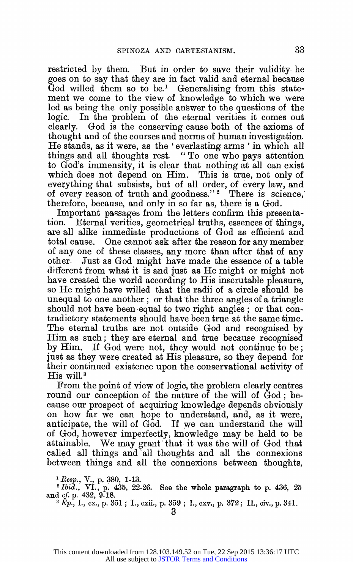**restricted by them. But in order to save their validity he goes on to say that they are in fact valid and eternal because God willed them so to be.' Generalising from this statement we come to the view of knowledge to which we were led as being the only possible answer to the questions of the logic. In the problem of the eternal verities it comes out clearly. God is the conserving cause both of the axioms of thought and of the courses and norms of human investigation. He stands, as it were, as the 'everlasting arms 'in which all things and all thoughts rest. " To one who pays attention to God's immensity, it is clear that nothing at all can exist**  which does not depend on Him. This is true, not only of **everything that subsists, but of all order, of every law, and of every reason of truth and goodness." 2 There is science, therefore, because, and only in so far as, there is a God.** 

**Important passages from the letters confirm this presentation. Eternal verities, geometrical truths, essences of things, are all alike immediate productions of God as efficient and total cause. One cannot ask after the reason for any member of any one of these classes, any more than after that of any**  other. Just as God might have made the essence of a table **different from what it is and just as He might or might not have created the world according to His inscrutable pleasure, so He might have willed that the radii of a circle should be**  unequal to one another; or that the three angles of a triangle **should not have been equal to two right angles; or that contradictory statements should have been true at the same time. The eternal truths are not outside God and recognised by Him as such; they are eternal and true because recognised by Him. If God were not, they would not continue to be; just as they were created at His pleasure, so they depend for their continued existence upon the conservational activity of His will.3** 

**From the point of view of logic, the problem clearly centres round our conception of the nature of the will of God; because our prospect of acquiring knowledge depends obviously on how far we can hope to understand, and, as it were,**  anticipate, the will of God. If we can understand the will **of God, however imperfectly, knowledge may be held to be**  attainable. We may grant that it was the will of God that **called all things and 'all thoughts and all the connexions between things and all the connexions between thoughts,** 

 $2Ibid., VI., p. 435, 22-26.$  See the whole paragraph to p.  $436, 25$ **and cf. p. 432, 9-18.** 

<sup>3</sup> Ep., I., ex., p. 351; I., exii., p. 359; I., exv., p. 372; II., eiv., p. 341.

**3** 

**BRes., V., p. 380, 1-13.**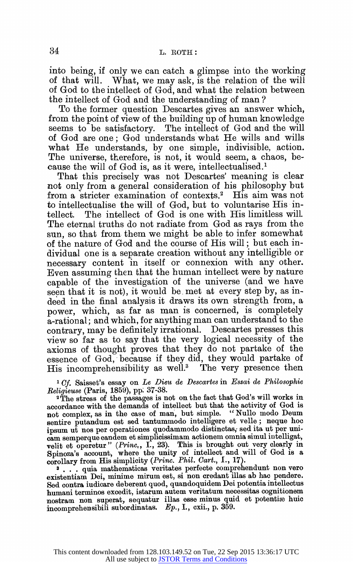**into being, if only we can catch a glimpse into the working of that will. What, we may ask, is the relation of the will of God to the intellect of God, and what the relation between the intellect of God and the understanding of man ?** 

**To the former question Descartes gives an answer which, from the point of view of the building up of human knowledge seems to be satisfactory. The intellect of God and the will of God are one; God understands what He wills and wills what He understands, by one simple, indivisible, action. The universe, therefore, is not, it would seem, a chaos, because the will of God is, as it were, intellectualised.1** 

**That this precisely was not Descartes' meaning is clear not only from a general consideration of his philosophy but from a stricter examination of contexts.2 His aim was not to intellectualise the will of God, but to voluntarise His intellect. The intellect of God is one with His limitless will. The eternal truths do not radiate from God as rays from the sun, so that from- them we might be able to infer somewhat of the nature of God and the course of His will; but each individual one is a separate creation without any intelligible or necessary content in itself or connexion with any other.**  Even assuming then that the human intellect were by nature **capable of the investigation of the universe (and we have seen that it is not), it would be met at every step by, as indeed in the final analysis it draws its own strength from, a power, which, as far as man is concerned, is completely a-rational; and which, for anything man can understand to the contrary, may be definitely irrational. Descartes presses this view so far as to say that the very logical necessity of the axioms of thought proves that they do not partake of the essence of God,' because if they did, they would partake of His incomprehensibility as well.3 The very presence then** 

**<sup>1</sup>Cf. Saisset's essay on Le Dieu de Descartes in Essai de Philosophie** 

**Religieuse (Paris, 1859), pp. 37-38. <sup>2</sup>The stress of the passages is not on the fact that God's will works in accordance with the demands of intellect but that the activity of God is not complex, as in the case of man, but simple. "Nullo modo Deum sentire putandum est sed tantummodo intelligere et velle; neque hoc ipsum ut nos per operationes quodammodo distinctas, sed ita ut per unicam semperque eandem et simplicissimam actionem omnia simul intelligat, velit et operetur" (Princ,, I., 23). This is brought, out very clearly in Spinoza's account, where the unity of intellect and will of God is a corollary from His simplicity (Princ. Phil. Cart., I., 17).** 

**3 .. .quia mathematicas veritates perfecte comprehendunt non vero existentiam Dei, minime mirum est, si non credant illas ab hac pendere. Sed contra iudicare deberent quod, quandoquidem Dei potentia intellectus humani terminos excedit, istarum autem veritatum necessitas cognitionem nostram non superat, sequatur illas esse minus quid et potentiae huic incomprehensibili subordinatas. Ep., I., cxii., p. 359.**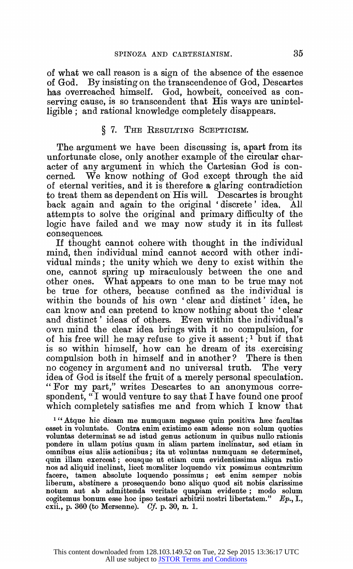**of what we call reason is a sign of the absence of the essence of God. By insisting on the transcendence of God, Descartes has overreached himself. God, howbeit, conceived as conserving cause, is so transcendent that His ways are unintelligible; and rational knowledge completely disappears.** 

# **? 7. THE RESULTING SCEPTICISM.**

**The argument we have been discussing is, apart from its unfortunate close, only another example of the circular character of any argument in which the Cartesian God is concerned. We know nothing of God except through the aid of eternal verities, and it is therefore a glaring contradiction to treat them as dependent on- His will. Descartes is brought back again and again to the original 'discrete' idea, All attempts to solve the original and primary difficulty of the logic have failed and we may now study it in its fullest consequences.** 

**If thought cannot cohere'with thought in the individual mind, then individual mind cannot accord with other individual minds; the unity which we deny to exist within the one, cannot spring up miraculously between the one and other ones. What appears to one man to be true may not be true for others, because confined as the individual is**  within the bounds of his own 'clear and distinct' idea, he **can know and can pretend to know nothing about the 'clear and distinct' ideas of others. Even within the individual's own mind the clear idea brings with it no compulsion, for of his free will he may refuse to give it assent; I but if that is so within himself, how can he dream of its exercising compulsion both in himself and in another? There is then no cogency in argument and no universal truth. The very idea of God is itself the fruit of a merely personal speculation. "For my part," writes Descartes to an anonymous correspondent, " I would venture to say that I have found one proof which completelv satisfies me and from which I know that** 

<sup>1</sup>" Atque hic dicam me numquam negasse quin positiva hee facultas **esset in voluntate. Contra enim existimo eam adesse non solum quoties voluntas determinat se ad istud genus actionum in quibus nullo rationis**  pondere in ullam potius quam in aliam partem inclinatur, sed etiam in **omnibus eius aliis actionibus; ita ut voluntas numquam se determinet, quin illam exerceat; eousque ut etiam cum evidentissima aliqua ratio nos ad aliquid inclinat, licet moraliter loquendo vix possimus contrarium facere, tamen absolute loquendo possimus; est enim semper nobis liberum, abstinere a prosequendo bono aliquo quod sit nobis clarissime notum aut ab admittenda veritate quapiam evidente; modo solum cogitemus bonum esse hoc ipso testari arbitrii nostri libertatem." Ep., I., cxii., p. 360 (to Mersenne). Cf. p. 30, n. 1.**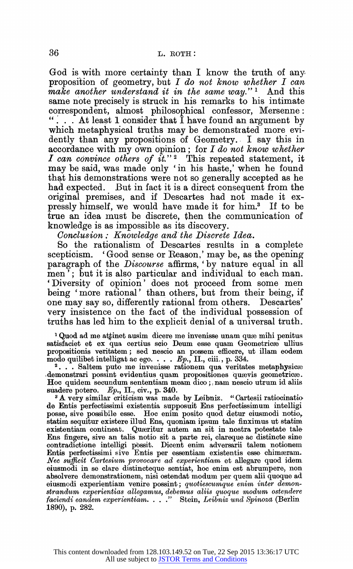**God is with inore certainty than I know the truth of any proposition of geometry, but I do not know whether I can, make another understand it in the same way." I And this same note precisely is struck in his remarks to his intimate correspondent, almost philosophical confessor, Mersenne: 'K. . At least I consider that I have found an argument by which metaphysical truths may be demonstrated more evidently than any propositions of Geometry.. I say this in accordance with my own opinion; for I do not know whether I can convince others of it." 2 This repeated statement, it may be said, was made only 'in his haste,' when he found that his demonstrations were not so generally accepted as he had expected. But in fact it is a direct consequent from the original premises, and if Descartes had not made it expressly himself, we would have made it for him.3 If to be true an idea inust be discrete, then the communication of knowledge is as impossible as its discovery.** 

**Conclusion; Knowledge and the Discrete Idea.** 

**So the rationalism of Descartes resuilts in a complete scepticism. 'Good sense or Reason,' may be, as the opening paragraph of the Discourse affirms, 'by nature equal in all men'; but it is also particular and individual to each man. 'Diversity of opinion' does not proceed from some men being 'more rational' than others, but from their being, if one may say so, differently rational from others. Descartes' very insistence on the fact of the individual possession of truths has led him to the explicit denial of a universal truth.** 

<sup>1</sup> Quod ad me attinet ausim dicere me invenisse unam quæ mihi penitus satisfaciet et ex qua certius scio Deum esse quam Geometricae ullius **propositionis veritatem; sed nescio an possem efficere, ut illam eodem modo quilibet intelligat ac ego. . . . Ep., II., ciii., p. 334.** 

**2. . . Saltem puto me invenisse rationem qua veritates metaphysicae**  demonstrari possint evidentius quam propositiones queevis geometricae. **Hoc quidem secundum sententiam meam dico;, nam nescio utrum id aliis suadere potero. Ep., H., civ., p. 340.** 

**3 A very similar criticism was made by Leibuiz. " Cartesii ratiocinatio de Entis perfectissimi existentia supposuit Ens perfectissimum intelligi**  posse, sive possibile esse. Hoc enim posito quod detur eiusmodi notio, **statim sequitur existere illud Ens, quoniam ipsum tale finximus ut statim**  existentiam contineat. Quaeritur autem an sit in nostra potestate tale **Ens fingere, sive an talis notio sit a parte rei, clareque ac distincte sine contradictione intelligi possit. Dicent enim adversarii talem notionem Entis perfectissimi sive Entis per essentiam existentis esse chimaeram. Nec sufficit Cartesium provocare ad experientiam et allegare quod idem eiusmodi in se clare distincteque sentiat, hoc enim est abrumpere, non absolvere demonstrationem, nisi ostendat modum per quem alii quoque ad eiusmodi experientiam venire possint; quotiescumque enim inter demon** $standardum$  experientias allegamus, debemus aliis quoque modum ostendere faciendi eandem experientiam. . . ." Stein, Leibniz und Spinoza (Berlin **1890), p. 282.**